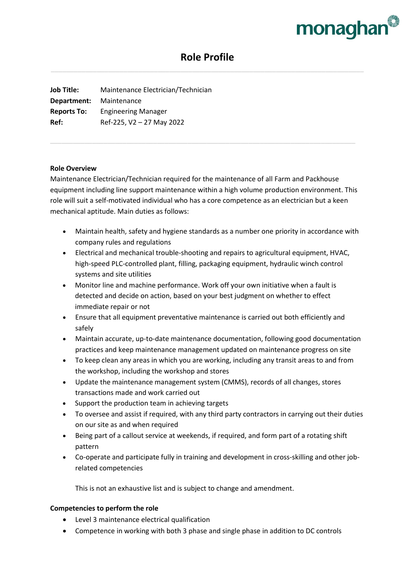

# **Role Profile**

**Job Title:** Maintenance Electrician/Technician **Department:** Maintenance **Reports To:** Engineering Manager **Ref:** Ref-225, V2 – 27 May 2022

### **Role Overview**

Maintenance Electrician/Technician required for the maintenance of all Farm and Packhouse equipment including line support maintenance within a high volume production environment. This role will suit a self-motivated individual who has a core competence as an electrician but a keen mechanical aptitude. Main duties as follows:

- Maintain health, safety and hygiene standards as a number one priority in accordance with company rules and regulations
- Electrical and mechanical trouble-shooting and repairs to agricultural equipment, HVAC, high-speed PLC-controlled plant, filling, packaging equipment, hydraulic winch control systems and site utilities
- Monitor line and machine performance. Work off your own initiative when a fault is detected and decide on action, based on your best judgment on whether to effect immediate repair or not
- Ensure that all equipment preventative maintenance is carried out both efficiently and safely
- Maintain accurate, up-to-date maintenance documentation, following good documentation practices and keep maintenance management updated on maintenance progress on site
- To keep clean any areas in which you are working, including any transit areas to and from the workshop, including the workshop and stores
- Update the maintenance management system (CMMS), records of all changes, stores transactions made and work carried out
- Support the production team in achieving targets
- To oversee and assist if required, with any third party contractors in carrying out their duties on our site as and when required
- Being part of a callout service at weekends, if required, and form part of a rotating shift pattern
- Co-operate and participate fully in training and development in cross-skilling and other jobrelated competencies

This is not an exhaustive list and is subject to change and amendment.

## **Competencies to perform the role**

- Level 3 maintenance electrical qualification
- Competence in working with both 3 phase and single phase in addition to DC controls